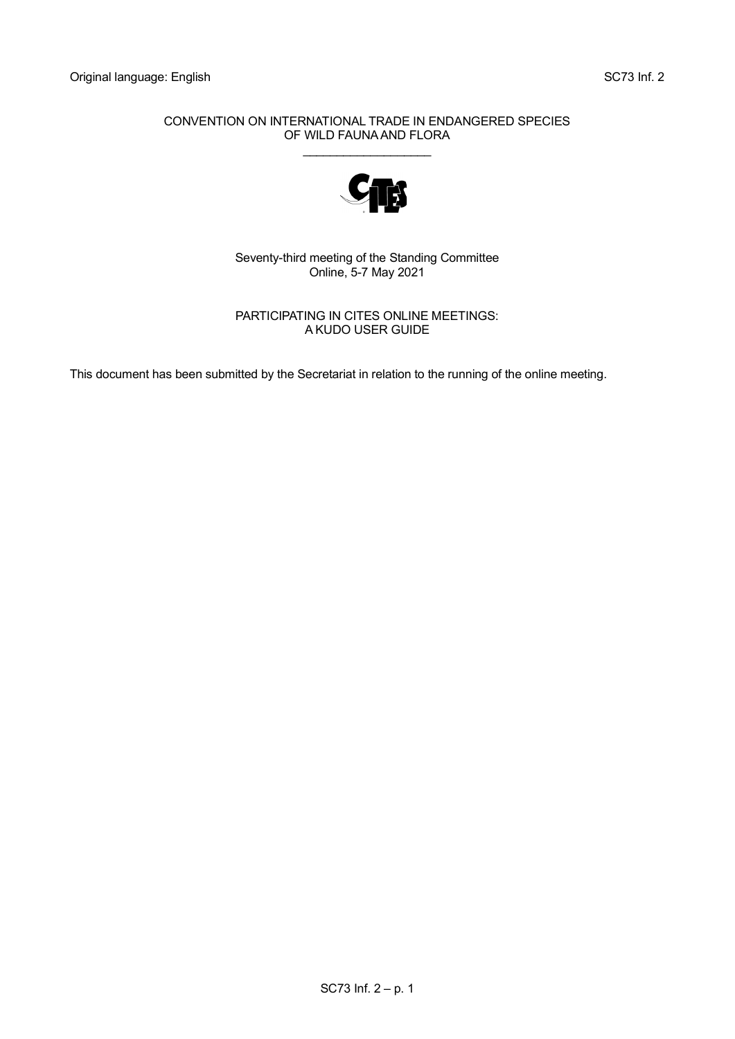#### CONVENTION ON INTERNATIONAL TRADE IN ENDANGERED SPECIES OF WILD FAUNA AND FLORA \_\_\_\_\_\_\_\_\_\_\_\_\_\_\_\_\_\_\_



Seventy-third meeting of the Standing Committee Online, 5-7 May 2021

PARTICIPATING IN CITES ONLINE MEETINGS: A KUDO USER GUIDE

This document has been submitted by the Secretariat in relation to the running of the online meeting.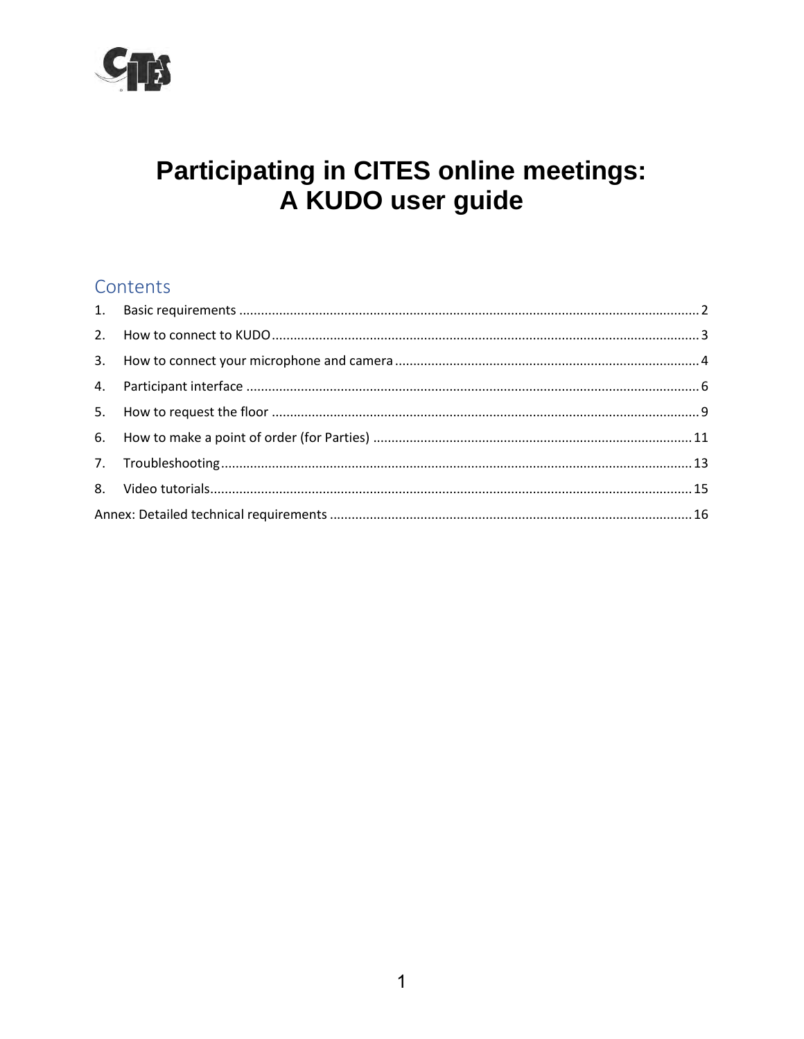

# **Participating in CITES online meetings:** A KUDO user guide

## Contents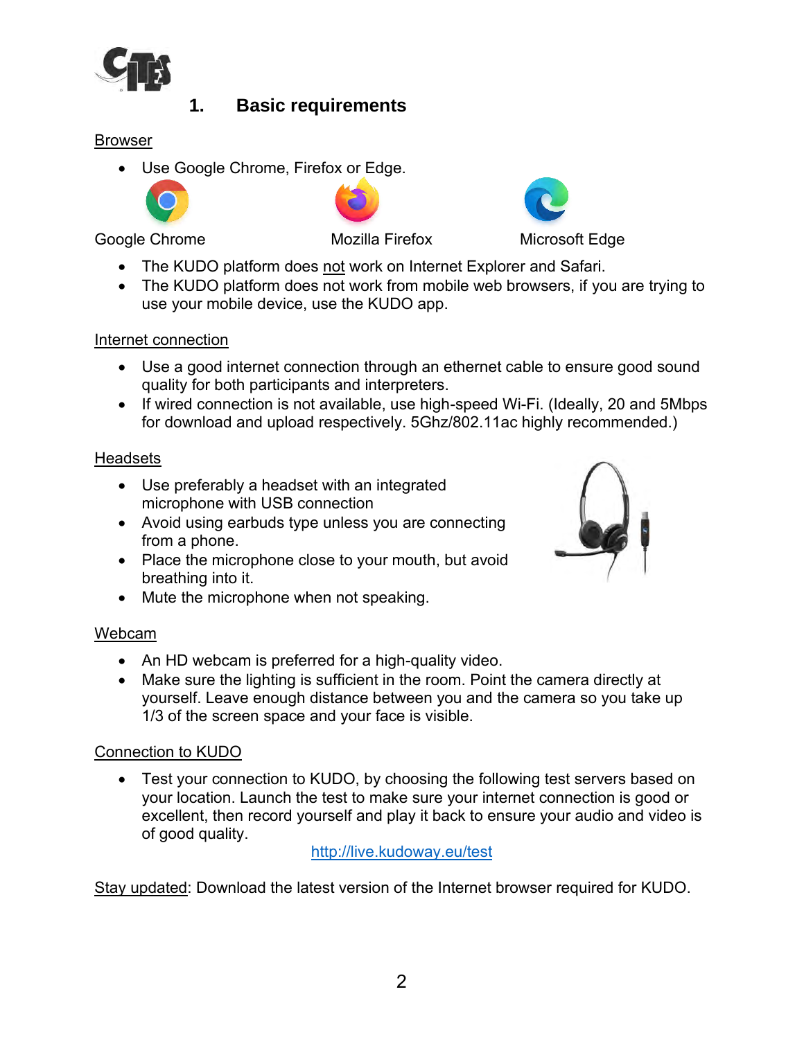

## **1. Basic requirements**

#### <span id="page-2-0"></span>Browser

• Use Google Chrome, Firefox or Edge.



Google Chrome **Mozilla Firefox** Microsoft Edge



• The KUDO platform does not work from mobile web browsers, if you are trying to use your mobile device, use the KUDO app.

#### Internet connection

- Use a good internet connection through an ethernet cable to ensure good sound quality for both participants and interpreters.
- If wired connection is not available, use high-speed Wi-Fi. (Ideally, 20 and 5Mbps for download and upload respectively. 5Ghz/802.11ac highly recommended.)

#### Headsets

- Use preferably a headset with an integrated microphone with USB connection
- Avoid using earbuds type unless you are connecting from a phone.
- Place the microphone close to your mouth, but avoid breathing into it.
- Mute the microphone when not speaking.

#### Webcam

- An HD webcam is preferred for a high-quality video.
- Make sure the lighting is sufficient in the room. Point the camera directly at yourself. Leave enough distance between you and the camera so you take up 1/3 of the screen space and your face is visible.

#### Connection to KUDO

• Test your connection to KUDO, by choosing the following test servers based on your location. Launch the test to make sure your internet connection is good or excellent, then record yourself and play it back to ensure your audio and video is of good quality.

#### <http://live.kudoway.eu/test>

Stay updated: Download the latest version of the Internet browser required for KUDO.



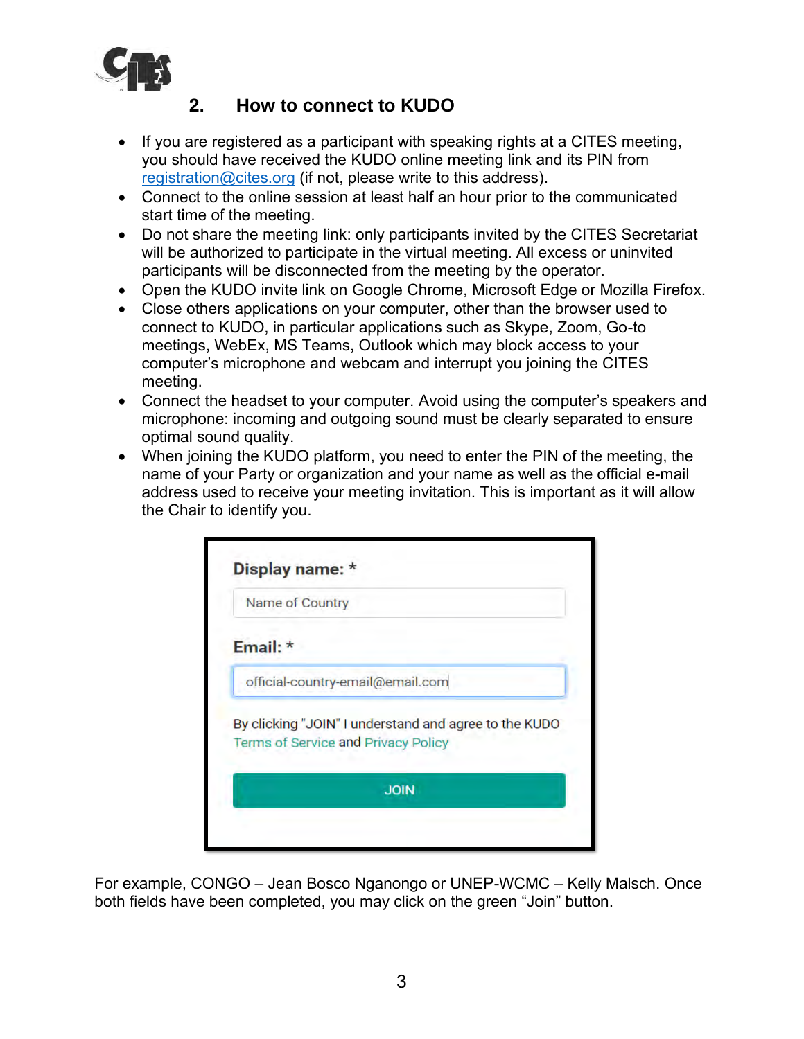

#### **2. How to connect to KUDO**

- <span id="page-3-0"></span>• If you are registered as a participant with speaking rights at a CITES meeting, you should have received the KUDO online meeting link and its PIN from [registration@cites.org](mailto:registration@cites.org) (if not, please write to this address).
- Connect to the online session at least half an hour prior to the communicated start time of the meeting.
- Do not share the meeting link: only participants invited by the CITES Secretariat will be authorized to participate in the virtual meeting. All excess or uninvited participants will be disconnected from the meeting by the operator.
- Open the KUDO invite link on Google Chrome, Microsoft Edge or Mozilla Firefox.
- Close others applications on your computer, other than the browser used to connect to KUDO, in particular applications such as Skype, Zoom, Go-to meetings, WebEx, MS Teams, Outlook which may block access to your computer's microphone and webcam and interrupt you joining the CITES meeting.
- Connect the headset to your computer. Avoid using the computer's speakers and microphone: incoming and outgoing sound must be clearly separated to ensure optimal sound quality.
- When joining the KUDO platform, you need to enter the PIN of the meeting, the name of your Party or organization and your name as well as the official e-mail address used to receive your meeting invitation. This is important as it will allow the Chair to identify you.

|          | Name of Country                                                                              |
|----------|----------------------------------------------------------------------------------------------|
| Email: * |                                                                                              |
|          | official-country-email@email.com                                                             |
|          | By clicking "JOIN" I understand and agree to the KUDO<br>Terms of Service and Privacy Policy |
|          | <b>JOIN</b>                                                                                  |

For example, CONGO – Jean Bosco Nganongo or UNEP-WCMC – Kelly Malsch. Once both fields have been completed, you may click on the green "Join" button.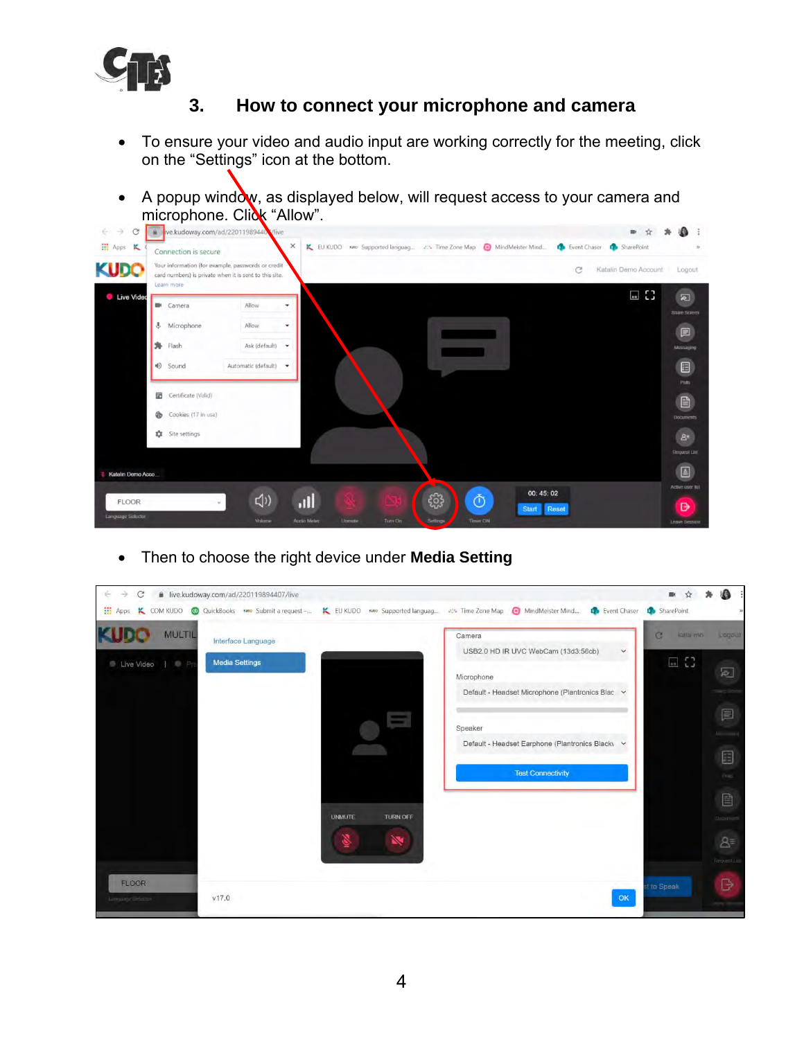

#### **3. How to connect your microphone and camera**

- <span id="page-4-0"></span>• To ensure your video and audio input are working correctly for the meeting, click on the "Settings" icon at the bottom.
- A popup window, as displayed below, will request access to your camera and microphone. Click "Allow".



• Then to choose the right device under **Media Setting**

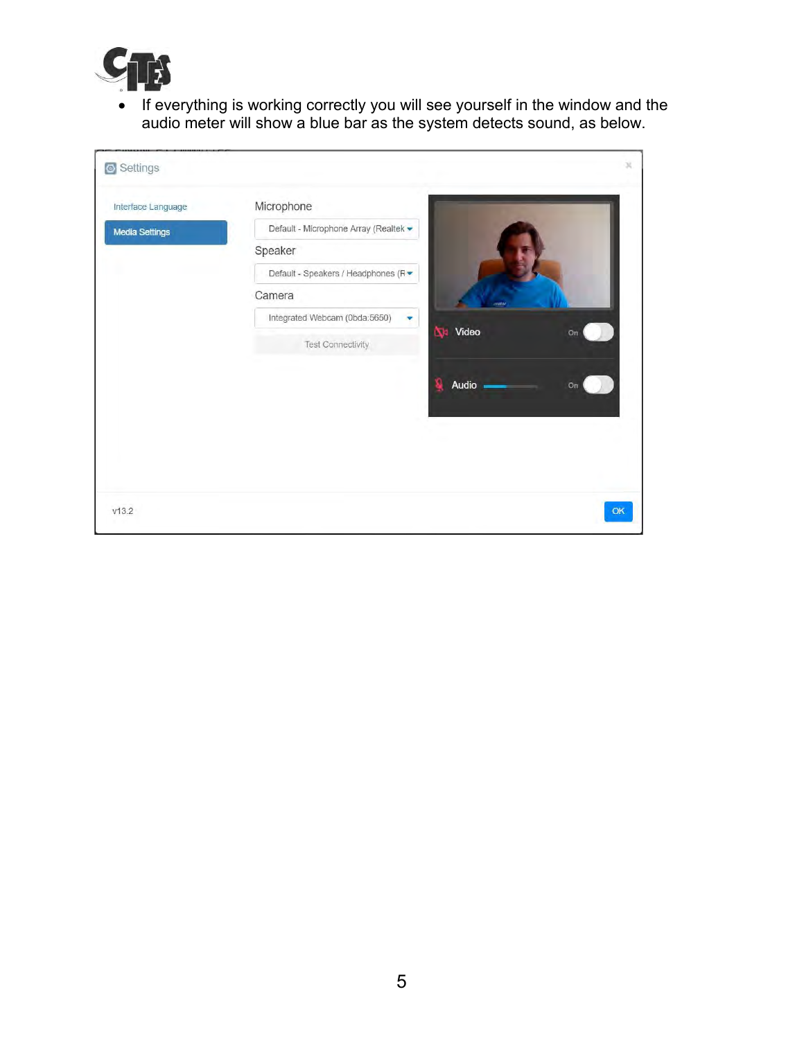

• If everything is working correctly you will see yourself in the window and the audio meter will show a blue bar as the system detects sound, as below.

| Interface Language    | Microphone                            |                       |    |
|-----------------------|---------------------------------------|-----------------------|----|
| <b>Media Settings</b> | Default - Microphone Array (Realtek - |                       |    |
|                       | Speaker                               |                       |    |
|                       | Default - Speakers / Headphones (R ·  |                       |    |
|                       | Camera                                | m                     |    |
|                       | Integrated Webcam (0bda:5650)<br>٠    |                       |    |
|                       | Test Connectivity                     | <b>National Video</b> | On |
|                       |                                       |                       |    |
|                       |                                       | Audio                 | On |
|                       |                                       |                       |    |
|                       |                                       |                       |    |
|                       |                                       |                       |    |
|                       |                                       |                       |    |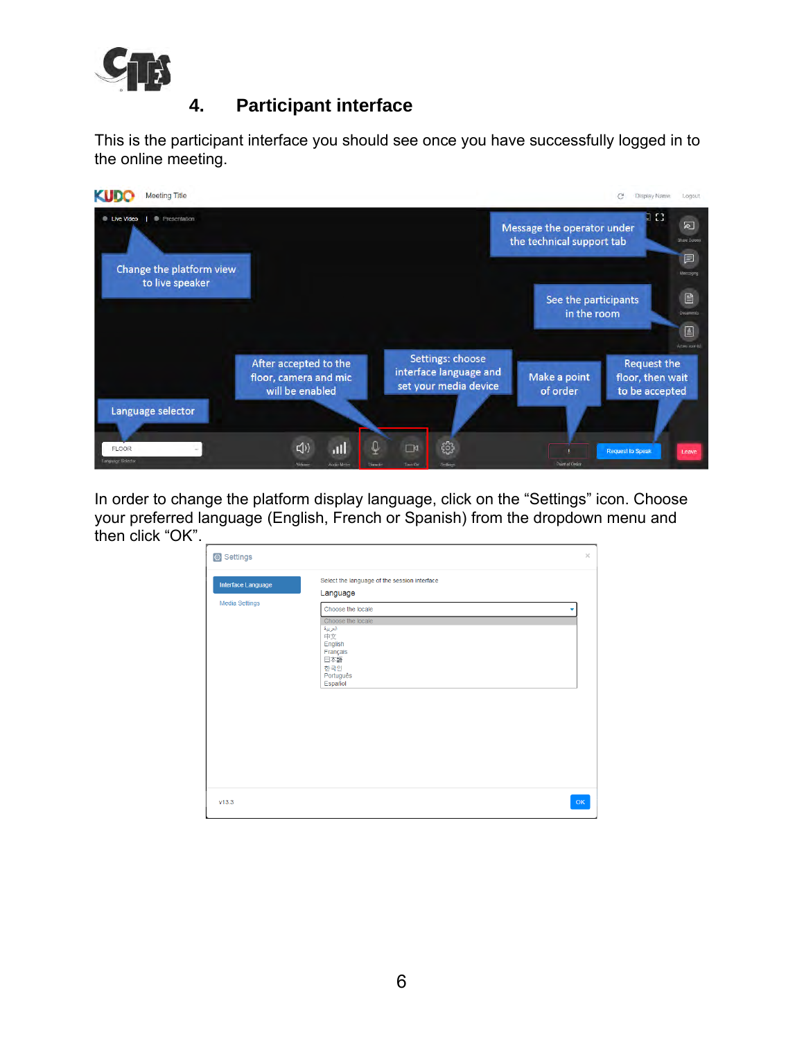

### **4. Participant interface**

<span id="page-6-0"></span>This is the participant interface you should see once you have successfully logged in to the online meeting.



In order to change the platform display language, click on the "Settings" icon. Choose your preferred language (English, French or Spanish) from the dropdown menu and then click "OK".

| Settings                             |                                                                                                                                                                                  | $\times$ |
|--------------------------------------|----------------------------------------------------------------------------------------------------------------------------------------------------------------------------------|----------|
| Interface Language<br>Media Settings | Select the language of the session interface<br>Language<br>Choose the locale<br>Choose the locale<br>العربية<br>中文<br>English<br>Français<br>日本語<br>한국인<br>Português<br>Español |          |
| V13.3                                |                                                                                                                                                                                  | OK       |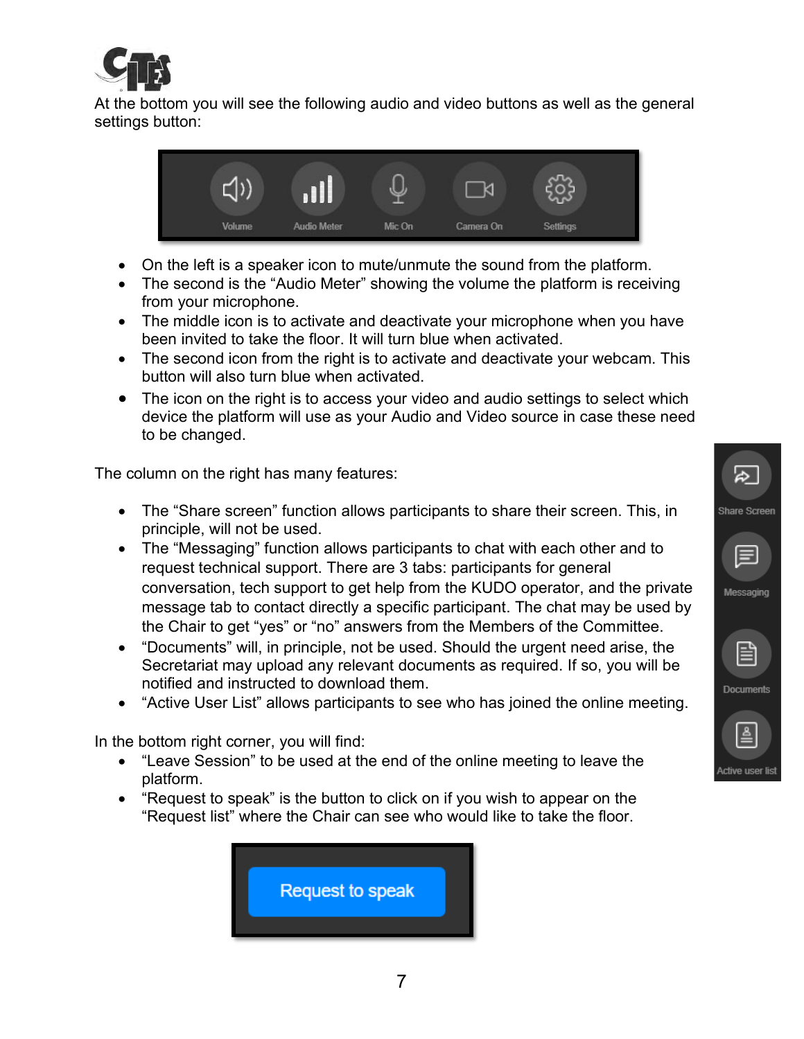

At the bottom you will see the following audio and video buttons as well as the general settings button:



- On the left is a speaker icon to mute/unmute the sound from the platform.
- The second is the "Audio Meter" showing the volume the platform is receiving from your microphone.
- The middle icon is to activate and deactivate your microphone when you have been invited to take the floor. It will turn blue when activated.
- The second icon from the right is to activate and deactivate your webcam. This button will also turn blue when activated.
- The icon on the right is to access your video and audio settings to select which device the platform will use as your Audio and Video source in case these need to be changed.

The column on the right has many features:

- The "Share screen" function allows participants to share their screen. This, in principle, will not be used.
- The "Messaging" function allows participants to chat with each other and to request technical support. There are 3 tabs: participants for general conversation, tech support to get help from the KUDO operator, and the private message tab to contact directly a specific participant. The chat may be used by the Chair to get "yes" or "no" answers from the Members of the Committee.
- "Documents" will, in principle, not be used. Should the urgent need arise, the Secretariat may upload any relevant documents as required. If so, you will be notified and instructed to download them.
- "Active User List" allows participants to see who has joined the online meeting.

In the bottom right corner, you will find:

- "Leave Session" to be used at the end of the online meeting to leave the platform.
- "Request to speak" is the button to click on if you wish to appear on the "Request list" where the Chair can see who would like to take the floor.



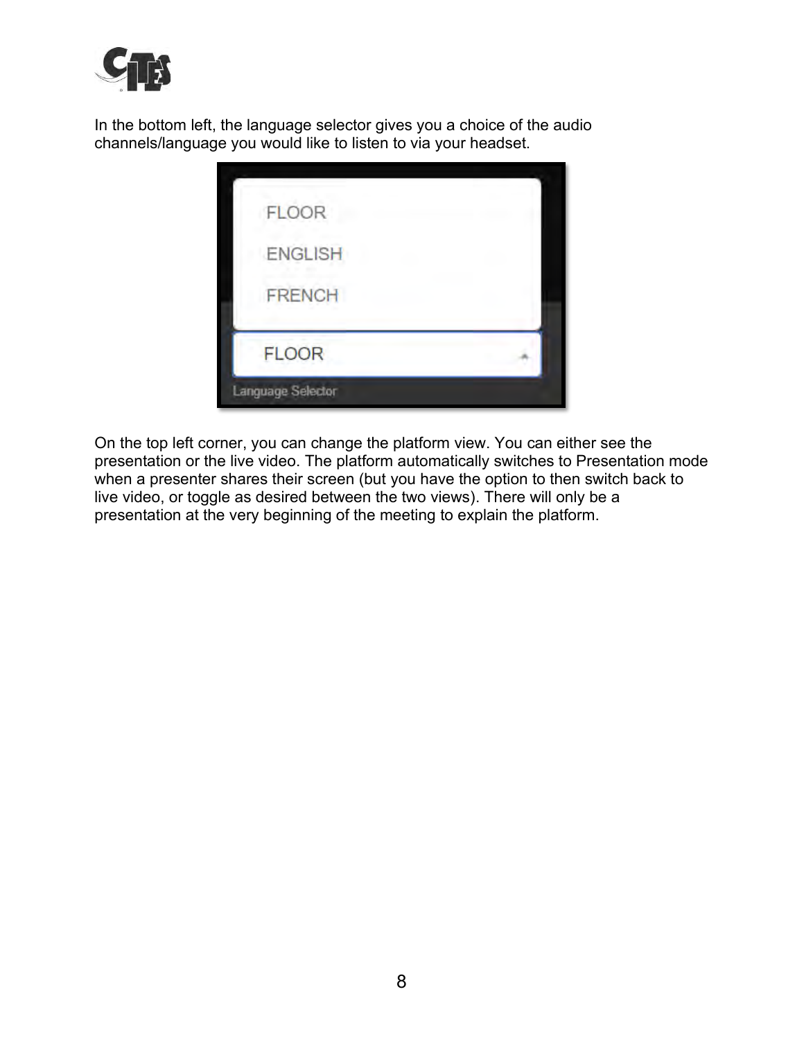

In the bottom left, the language selector gives you a choice of the audio channels/language you would like to listen to via your headset.

| FLOOR             |  |
|-------------------|--|
| ENGLISH           |  |
| <b>FRENCH</b>     |  |
| <b>FLOOR</b>      |  |
| Language Selector |  |

On the top left corner, you can change the platform view. You can either see the presentation or the live video. The platform automatically switches to Presentation mode when a presenter shares their screen (but you have the option to then switch back to live video, or toggle as desired between the two views). There will only be a presentation at the very beginning of the meeting to explain the platform.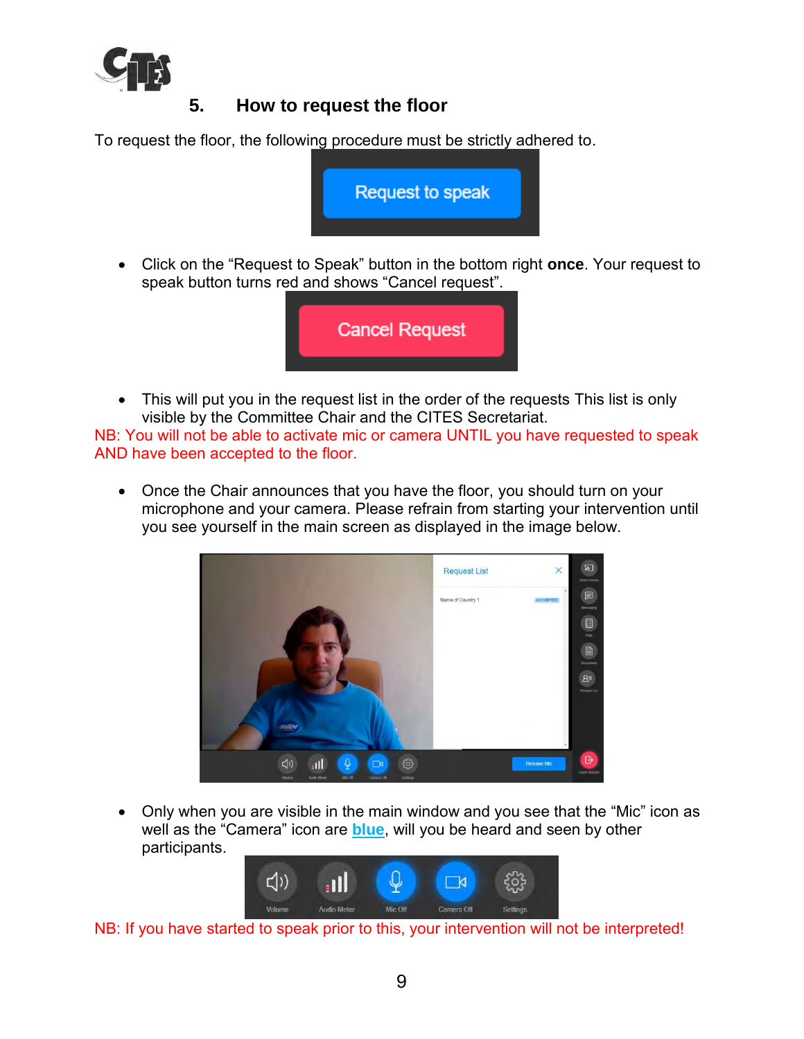

### **5. How to request the floor**

<span id="page-9-0"></span>To request the floor, the following procedure must be strictly adhered to.



• Click on the "Request to Speak" button in the bottom right **once**. Your request to speak button turns red and shows "Cancel request".



• This will put you in the request list in the order of the requests This list is only visible by the Committee Chair and the CITES Secretariat.

NB: You will not be able to activate mic or camera UNTIL you have requested to speak AND have been accepted to the floor.

• Once the Chair announces that you have the floor, you should turn on your microphone and your camera. Please refrain from starting your intervention until you see yourself in the main screen as displayed in the image below.



• Only when you are visible in the main window and you see that the "Mic" icon as well as the "Camera" icon are **blue**, will you be heard and seen by other participants.



NB: If you have started to speak prior to this, your intervention will not be interpreted!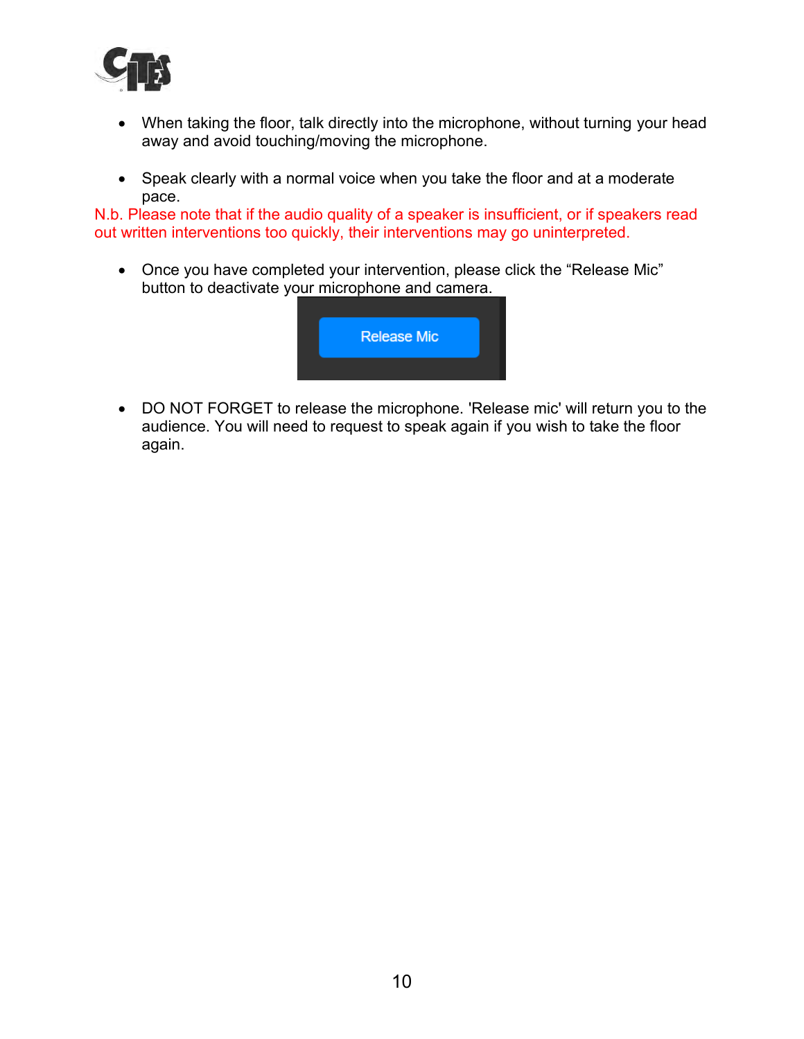

- When taking the floor, talk directly into the microphone, without turning your head away and avoid touching/moving the microphone.
- Speak clearly with a normal voice when you take the floor and at a moderate pace.

N.b. Please note that if the audio quality of a speaker is insufficient, or if speakers read out written interventions too quickly, their interventions may go uninterpreted.

• Once you have completed your intervention, please click the "Release Mic" button to deactivate your microphone and camera.



• DO NOT FORGET to release the microphone. 'Release mic' will return you to the audience. You will need to request to speak again if you wish to take the floor again.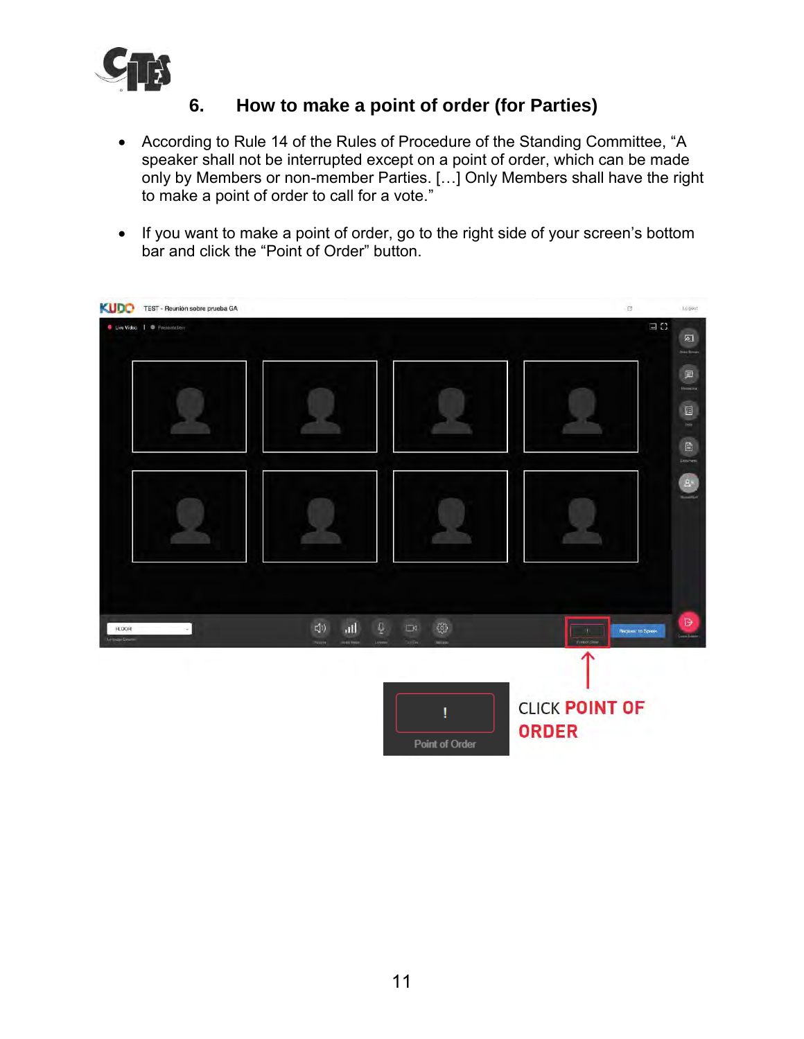

### **6. How to make a point of order (for Parties)**

- <span id="page-11-0"></span>• According to Rule 14 of the Rules of Procedure of the Standing Committee, "A speaker shall not be interrupted except on a point of order, which can be made only by Members or non-member Parties. […] Only Members shall have the right to make a point of order to call for a vote."
- If you want to make a point of order, go to the right side of your screen's bottom bar and click the "Point of Order" button.

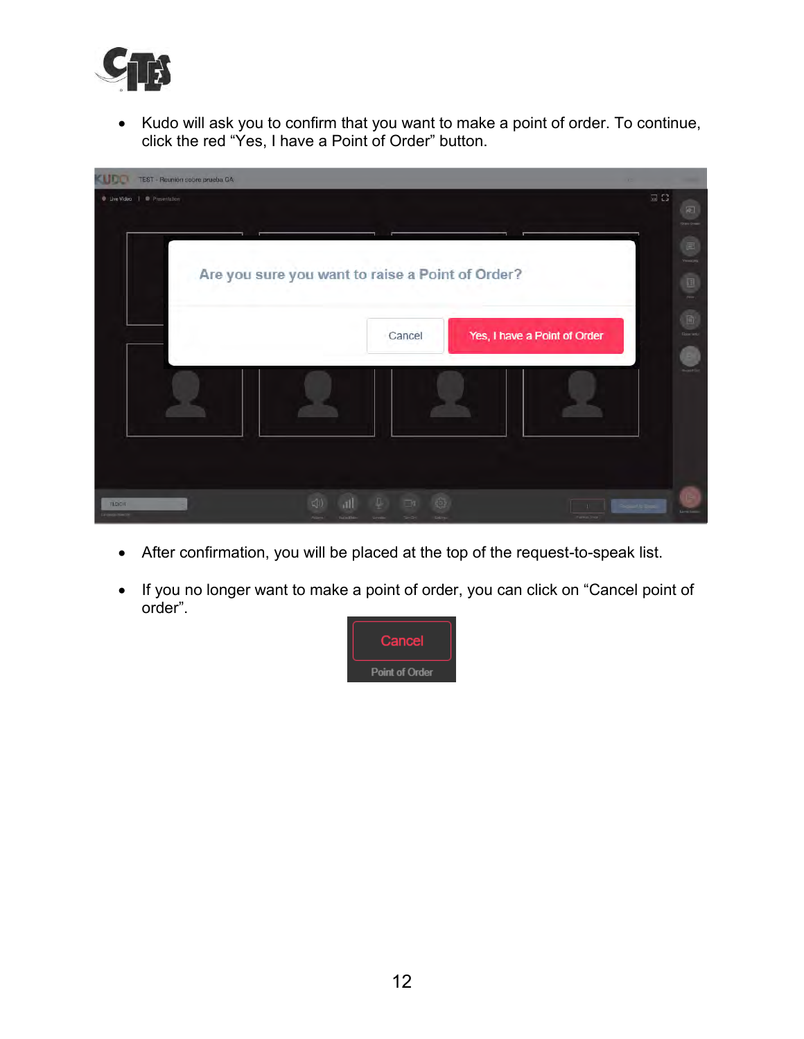

• Kudo will ask you to confirm that you want to make a point of order. To continue, click the red "Yes, I have a Point of Order" button.



- After confirmation, you will be placed at the top of the request-to-speak list.
- If you no longer want to make a point of order, you can click on "Cancel point of order".

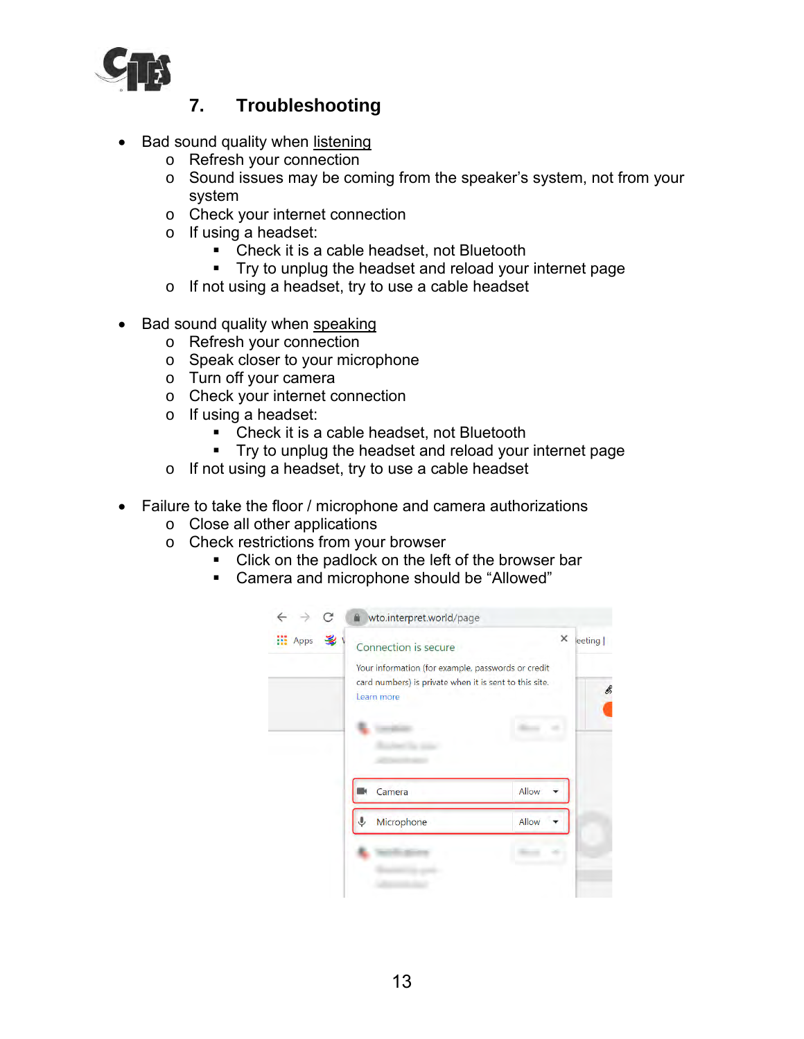

## **7. Troubleshooting**

- <span id="page-13-0"></span>Bad sound quality when listening
	- o Refresh your connection
	- o Sound issues may be coming from the speaker's system, not from your system
	- o Check your internet connection
	- o If using a headset:
		- Check it is a cable headset, not Bluetooth
		- Try to unplug the headset and reload your internet page
	- o If not using a headset, try to use a cable headset
- Bad sound quality when speaking
	- o Refresh your connection
	- o Speak closer to your microphone
	- o Turn off your camera
	- o Check your internet connection
	- o If using a headset:
		- Check it is a cable headset, not Bluetooth
		- Try to unplug the headset and reload your internet page
	- o If not using a headset, try to use a cable headset
- Failure to take the floor / microphone and camera authorizations
	- o Close all other applications
	- o Check restrictions from your browser
		- Click on the padlock on the left of the browser bar
		- Camera and microphone should be "Allowed"

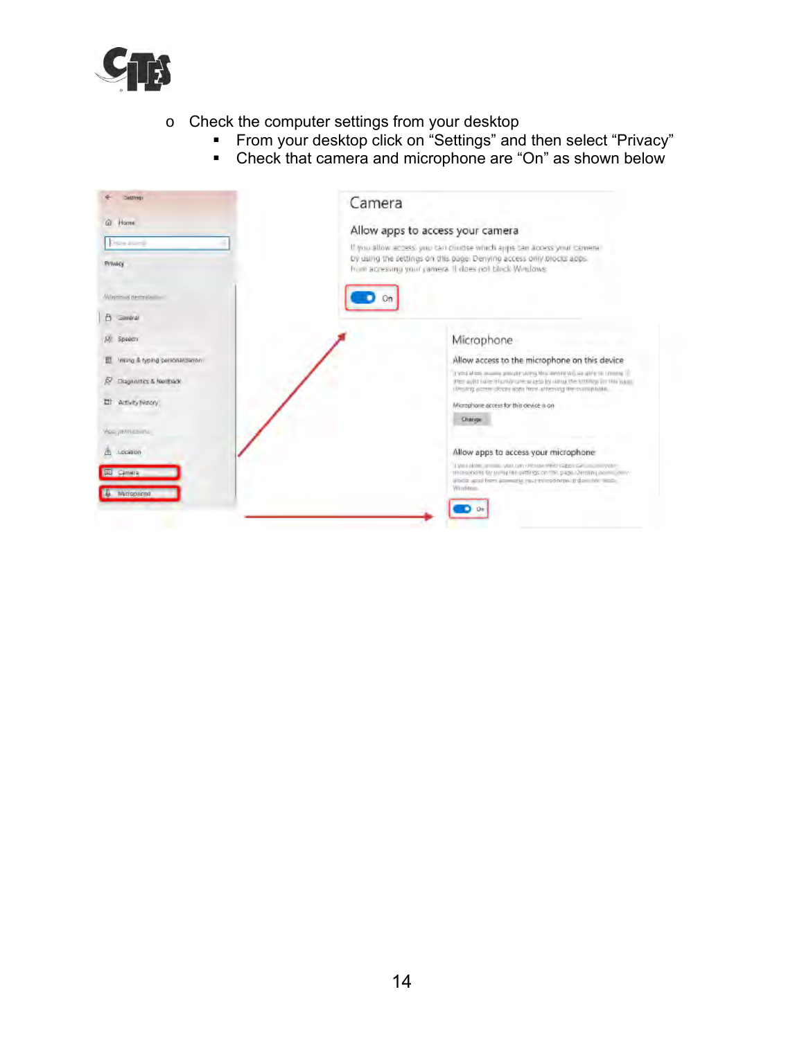

- o Check the computer settings from your desktop
	- From your desktop click on "Settings" and then select "Privacy"
	- Check that camera and microphone are "On" as shown below

| Settlings                             | Camera                                                                                                                                                                                                          |
|---------------------------------------|-----------------------------------------------------------------------------------------------------------------------------------------------------------------------------------------------------------------|
| ŵ.<br>Home                            | Allow apps to access your camera                                                                                                                                                                                |
| Date away<br><b>FVWACK</b>            | If you allow access you can child se which appis can access your camera-<br>by using the settings on this page. Denying access only blocks apps.<br>from acressing your camera. It does not block Windows:      |
| Monthus nem pailing                   |                                                                                                                                                                                                                 |
| B.<br>Gospial                         |                                                                                                                                                                                                                 |
| Speech                                | Microphone                                                                                                                                                                                                      |
| Initing & typing personalization<br>豆 | Allow access to the microphone on this device                                                                                                                                                                   |
| Diagnattics & Netthern<br>R           | If you allow assem present strong this went or will an able to throng ID<br>PET with late municipal areas by drive the transporting basic<br>University access clocking about front-achemicist the commitments. |
| Activity Nationy<br>빠                 | Microphone access for this device is on                                                                                                                                                                         |
| Yoo permissions                       | Ostope                                                                                                                                                                                                          |
| 1413000                               | Allow apps to access your microphone                                                                                                                                                                            |
| <b>ID</b> Canwra                      | Live Listen, provide you can create under paper can be concepted.<br>INVESTIGATION CONTINUES OF THE CARD CONTINUES.<br>sibola uposi from scorestic your trimportate. If dominar abou-<br>Wind-blue              |
| & Micropeane                          |                                                                                                                                                                                                                 |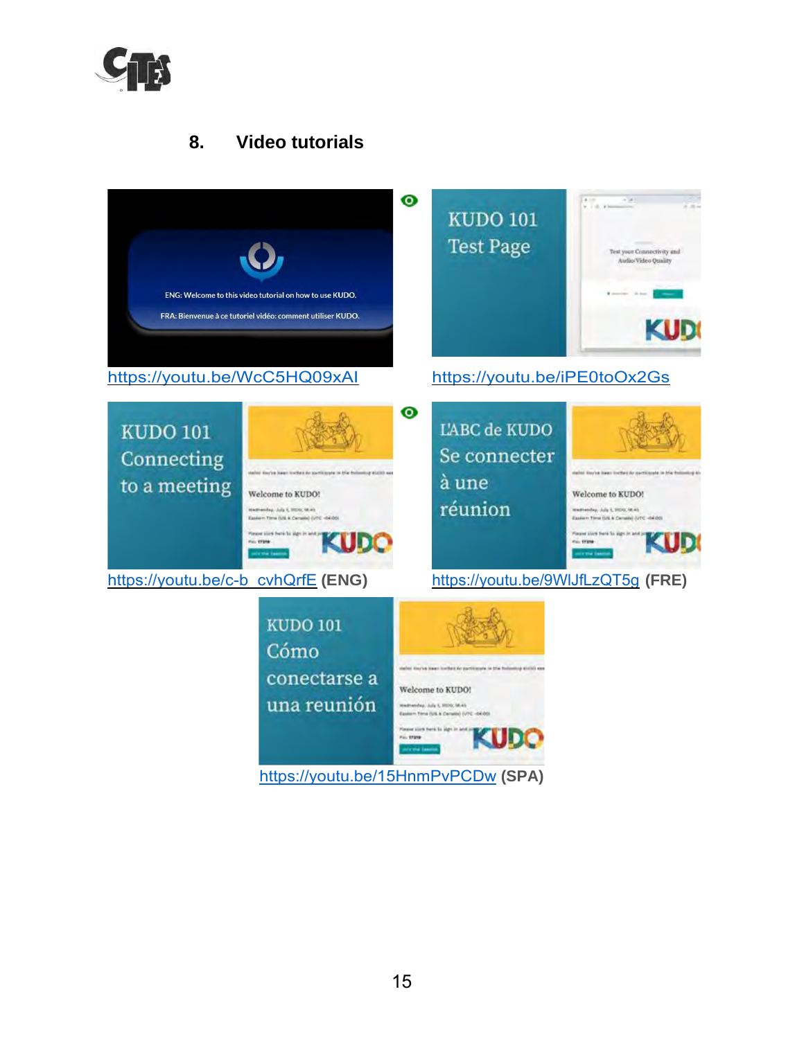

## **8. Video tutorials**

<span id="page-15-0"></span>